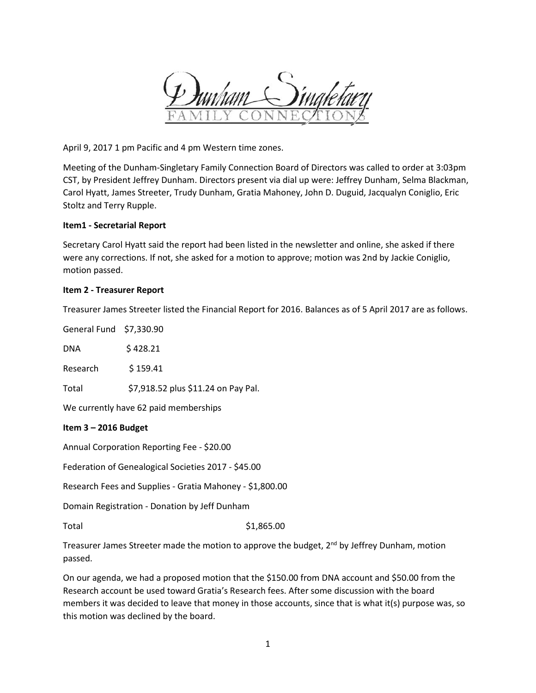

April 9, 2017 1 pm Pacific and 4 pm Western time zones.

Meeting of the Dunham-Singletary Family Connection Board of Directors was called to order at 3:03pm CST, by President Jeffrey Dunham. Directors present via dial up were: Jeffrey Dunham, Selma Blackman, Carol Hyatt, James Streeter, Trudy Dunham, Gratia Mahoney, John D. Duguid, Jacqualyn Coniglio, Eric Stoltz and Terry Rupple.

## **Item1 - Secretarial Report**

Secretary Carol Hyatt said the report had been listed in the newsletter and online, she asked if there were any corrections. If not, she asked for a motion to approve; motion was 2nd by Jackie Coniglio, motion passed.

## **Item 2 - Treasurer Report**

Treasurer James Streeter listed the Financial Report for 2016. Balances as of 5 April 2017 are as follows.

General Fund \$7,330.90 DNA \$ 428.21 Research \$ 159.41 Total \$7,918.52 plus \$11.24 on Pay Pal. We currently have 62 paid memberships

# **Item 3 – 2016 Budget**

Annual Corporation Reporting Fee - \$20.00

Federation of Genealogical Societies 2017 - \$45.00

Research Fees and Supplies - Gratia Mahoney - \$1,800.00

Domain Registration - Donation by Jeff Dunham

Total \$1,865.00

Treasurer James Streeter made the motion to approve the budget,  $2<sup>nd</sup>$  by Jeffrey Dunham, motion passed.

On our agenda, we had a proposed motion that the \$150.00 from DNA account and \$50.00 from the Research account be used toward Gratia's Research fees. After some discussion with the board members it was decided to leave that money in those accounts, since that is what it(s) purpose was, so this motion was declined by the board.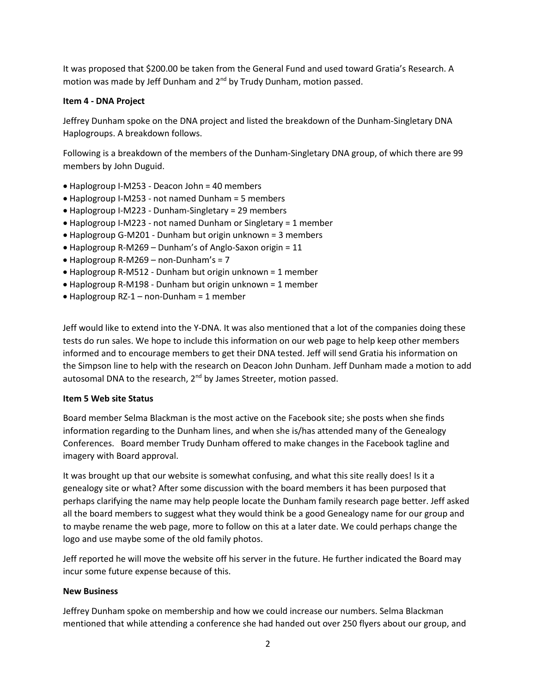It was proposed that \$200.00 be taken from the General Fund and used toward Gratia's Research. A motion was made by Jeff Dunham and 2<sup>nd</sup> by Trudy Dunham, motion passed.

# **Item 4 - DNA Project**

Jeffrey Dunham spoke on the DNA project and listed the breakdown of the Dunham-Singletary DNA Haplogroups. A breakdown follows.

Following is a breakdown of the members of the Dunham-Singletary DNA group, of which there are 99 members by John Duguid.

- Haplogroup I-M253 Deacon John = 40 members
- Haplogroup I-M253 not named Dunham = 5 members
- Haplogroup I-M223 Dunham-Singletary = 29 members
- Haplogroup I-M223 not named Dunham or Singletary = 1 member
- Haplogroup G-M201 Dunham but origin unknown = 3 members
- Haplogroup R-M269 Dunham's of Anglo-Saxon origin = 11
- Haplogroup R-M269 non-Dunham's = 7
- Haplogroup R-M512 Dunham but origin unknown = 1 member
- Haplogroup R-M198 Dunham but origin unknown = 1 member
- Haplogroup RZ-1 non-Dunham = 1 member

Jeff would like to extend into the Y-DNA. It was also mentioned that a lot of the companies doing these tests do run sales. We hope to include this information on our web page to help keep other members informed and to encourage members to get their DNA tested. Jeff will send Gratia his information on the Simpson line to help with the research on Deacon John Dunham. Jeff Dunham made a motion to add autosomal DNA to the research, 2<sup>nd</sup> by James Streeter, motion passed.

# **Item 5 Web site Status**

Board member Selma Blackman is the most active on the Facebook site; she posts when she finds information regarding to the Dunham lines, and when she is/has attended many of the Genealogy Conferences. Board member Trudy Dunham offered to make changes in the Facebook tagline and imagery with Board approval.

It was brought up that our website is somewhat confusing, and what this site really does! Is it a genealogy site or what? After some discussion with the board members it has been purposed that perhaps clarifying the name may help people locate the Dunham family research page better. Jeff asked all the board members to suggest what they would think be a good Genealogy name for our group and to maybe rename the web page, more to follow on this at a later date. We could perhaps change the logo and use maybe some of the old family photos.

Jeff reported he will move the website off his server in the future. He further indicated the Board may incur some future expense because of this.

# **New Business**

Jeffrey Dunham spoke on membership and how we could increase our numbers. Selma Blackman mentioned that while attending a conference she had handed out over 250 flyers about our group, and